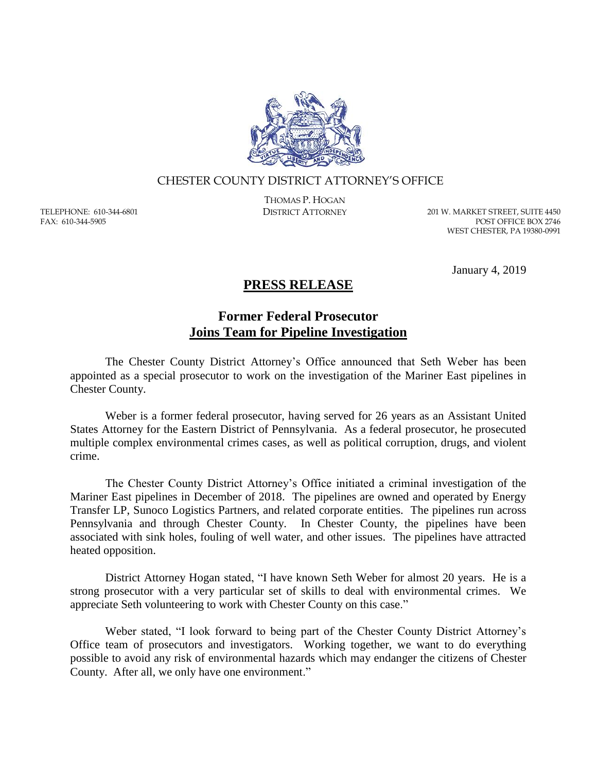

## CHESTER COUNTY DISTRICT ATTORNEY'S OFFICE

TELEPHONE: 610-344-6801 FAX: 610-344-5905

THOMAS P. HOGAN

DISTRICT ATTORNEY 201 W. MARKET STREET, SUITE 4450 POST OFFICE BOX 2746 WEST CHESTER, PA 19380-0991

January 4, 2019

## **PRESS RELEASE**

## **Former Federal Prosecutor Joins Team for Pipeline Investigation**

The Chester County District Attorney's Office announced that Seth Weber has been appointed as a special prosecutor to work on the investigation of the Mariner East pipelines in Chester County.

Weber is a former federal prosecutor, having served for 26 years as an Assistant United States Attorney for the Eastern District of Pennsylvania. As a federal prosecutor, he prosecuted multiple complex environmental crimes cases, as well as political corruption, drugs, and violent crime.

The Chester County District Attorney's Office initiated a criminal investigation of the Mariner East pipelines in December of 2018. The pipelines are owned and operated by Energy Transfer LP, Sunoco Logistics Partners, and related corporate entities. The pipelines run across Pennsylvania and through Chester County. In Chester County, the pipelines have been associated with sink holes, fouling of well water, and other issues. The pipelines have attracted heated opposition.

District Attorney Hogan stated, "I have known Seth Weber for almost 20 years. He is a strong prosecutor with a very particular set of skills to deal with environmental crimes. We appreciate Seth volunteering to work with Chester County on this case."

Weber stated, "I look forward to being part of the Chester County District Attorney's Office team of prosecutors and investigators. Working together, we want to do everything possible to avoid any risk of environmental hazards which may endanger the citizens of Chester County. After all, we only have one environment."